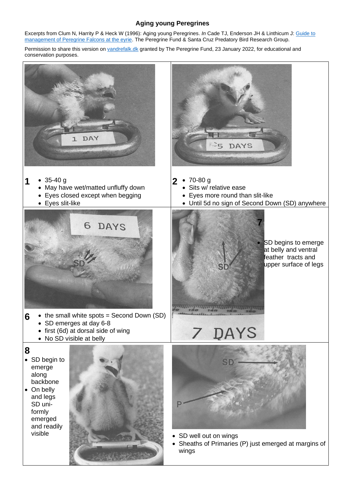#### **Aging young Peregrines**

Excerpts from Clum N, Harrity P & Heck W (1996): Aging young Peregrines. *In* Cade TJ, Enderson JH & Linthicum J[: Guide to](http://assets.peregrinefund.org/docs/pdf/research-library/manuals/manual-eyrie-management.pdf)  [management of Peregrine Falcons at the eyrie.](http://assets.peregrinefund.org/docs/pdf/research-library/manuals/manual-eyrie-management.pdf) The Peregrine Fund & Santa Cruz Predatory Bird Research Group.

Permission to share this version on [vandrefalk.dk](http://vandrefalk.dk/index_eng.shtml) granted by The Peregrine Fund, 23 January 2022, for educational and conservation purposes.

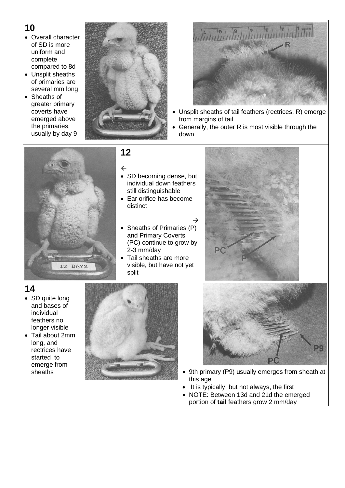# **10**

- Overall character of SD is more uniform and complete compared to 8d
- Unsplit sheaths of primaries are several mm long
- Sheaths of greater primary coverts have emerged above the primaries, usually by day 9





- Unsplit sheaths of tail feathers (rectrices, R) emerge from margins of tail
- Generally, the outer R is most visible through the down



**12**

 $\leftarrow$ 

- SD becoming dense, but individual down feathers still distinguishable
- Ear orifice has become distinct

 $\rightarrow$ 

- Sheaths of Primaries (P) and Primary Coverts (PC) continue to grow by 2-3 mm/day
- Tail sheaths are more visible, but have not yet split



- **14**
- SD quite long and bases of individual feathers no longer visible
- Tail about 2mm long, and rectrices have started to emerge from<br>sheaths





- 9th primary (P9) usually emerges from sheath at this age
- It is typically, but not always, the first
- NOTE: Between 13d and 21d the emerged portion of **tail** feathers grow 2 mm/day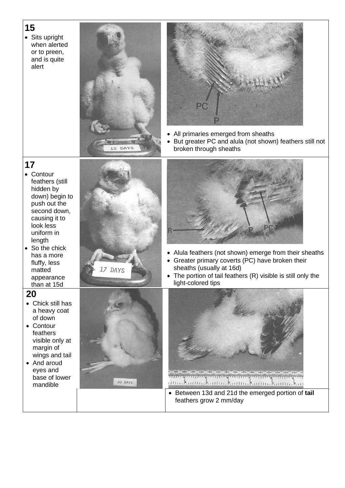### **15**

• Sits upright when alerted or to preen, and is quite alert





- All primaries emerged from sheaths
- But greater PC and alula (not shown) feathers still not broken through sheaths

#### **17**

- Contour feathers (still hidden by down) begin to push out the second down, causing it to look less uniform in length
- So the chick has a more fluffy, less matted appearance than at 15d

#### **20**

- Chick still has a heavy coat of down
- Contour feathers visible only at margin of wings and tail
- And aroud eyes and base of lower mandible



20 DAYS



- Alula feathers (not shown) emerge from their sheaths
- Greater primary coverts (PC) have broken their sheaths (usually at 16d)
- The portion of tail feathers (R) visible is still only the light-colored tips



• Between 13d and 21d the emerged portion of **tail** feathers grow 2 mm/day